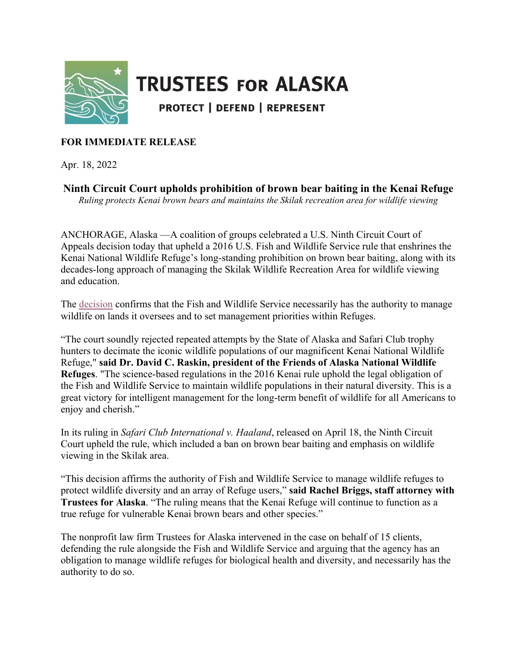

## **TRUSTEES FOR ALASKA**

**PROTECT | DEFEND | REPRESENT** 

## **FOR IMMEDIATE RELEASE**

Apr. 18, 2022

**Ninth Circuit Court upholds prohibition of brown bear baiting in the Kenai Refuge** *Ruling protects Kenai brown bears and maintains the Skilak recreation area for wildlife viewing*

ANCHORAGE, Alaska —A coalition of groups celebrated a U.S. Ninth Circuit Court of Appeals decision today that upheld a 2016 U.S. Fish and Wildlife Service rule that enshrines the Kenai National Wildlife Refuge's long-standing prohibition on brown bear baiting, along with its decades-long approach of managing the Skilak Wildlife Recreation Area for wildlife viewing and education.

The [decision](https://cdn.ca9.uscourts.gov/datastore/opinions/2022/04/18/21-35030.pdf) confirms that the Fish and Wildlife Service necessarily has the authority to manage wildlife on lands it oversees and to set management priorities within Refuges.

"The court soundly rejected repeated attempts by the State of Alaska and Safari Club trophy hunters to decimate the iconic wildlife populations of our magnificent Kenai National Wildlife Refuge," **said Dr. David C. Raskin, president of the Friends of Alaska National Wildlife Refuges**. "The science-based regulations in the 2016 Kenai rule uphold the legal obligation of the Fish and Wildlife Service to maintain wildlife populations in their natural diversity. This is a great victory for intelligent management for the long-term benefit of wildlife for all Americans to enjoy and cherish."

In its ruling in *Safari Club International v. Haaland*, released on April 18, the Ninth Circuit Court upheld the rule, which included a ban on brown bear baiting and emphasis on wildlife viewing in the Skilak area.

"This decision affirms the authority of Fish and Wildlife Service to manage wildlife refuges to protect wildlife diversity and an array of Refuge users," **said Rachel Briggs, staff attorney with Trustees for Alaska**. "The ruling means that the Kenai Refuge will continue to function as a true refuge for vulnerable Kenai brown bears and other species."

The nonprofit law firm Trustees for Alaska intervened in the case on behalf of 15 clients, defending the rule alongside the Fish and Wildlife Service and arguing that the agency has an obligation to manage wildlife refuges for biological health and diversity, and necessarily has the authority to do so.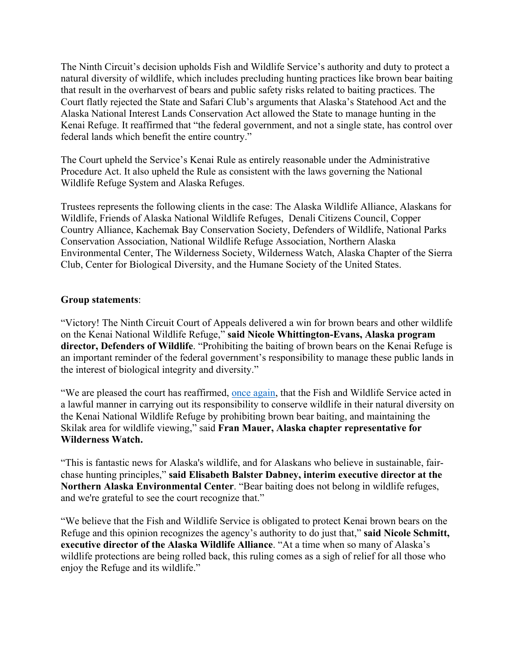The Ninth Circuit's decision upholds Fish and Wildlife Service's authority and duty to protect a natural diversity of wildlife, which includes precluding hunting practices like brown bear baiting that result in the overharvest of bears and public safety risks related to baiting practices. The Court flatly rejected the State and Safari Club's arguments that Alaska's Statehood Act and the Alaska National Interest Lands Conservation Act allowed the State to manage hunting in the Kenai Refuge. It reaffirmed that "the federal government, and not a single state, has control over federal lands which benefit the entire country."

The Court upheld the Service's Kenai Rule as entirely reasonable under the Administrative Procedure Act. It also upheld the Rule as consistent with the laws governing the National Wildlife Refuge System and Alaska Refuges.

Trustees represents the following clients in the case: The Alaska Wildlife Alliance, Alaskans for Wildlife, Friends of Alaska National Wildlife Refuges, Denali Citizens Council, Copper Country Alliance, Kachemak Bay Conservation Society, Defenders of Wildlife, National Parks Conservation Association, National Wildlife Refuge Association, Northern Alaska Environmental Center, The Wilderness Society, Wilderness Watch, Alaska Chapter of the Sierra Club, Center for Biological Diversity, and the Humane Society of the United States.

## **Group statements**:

"Victory! The Ninth Circuit Court of Appeals delivered a win for brown bears and other wildlife on the Kenai National Wildlife Refuge," **said Nicole Whittington-Evans, Alaska program director, Defenders of Wildlife**. "Prohibiting the baiting of brown bears on the Kenai Refuge is an important reminder of the federal government's responsibility to manage these public lands in the interest of biological integrity and diversity."

"We are pleased the court has reaffirmed, [once again,](https://trustees.org/were-headed-to-court-to-protect-bears-and-wolves-in-the-kenai-refuge/) that the Fish and Wildlife Service acted in a lawful manner in carrying out its responsibility to conserve wildlife in their natural diversity on the Kenai National Wildlife Refuge by prohibiting brown bear baiting, and maintaining the Skilak area for wildlife viewing," said **Fran Mauer, Alaska chapter representative for Wilderness Watch.**

"This is fantastic news for Alaska's wildlife, and for Alaskans who believe in sustainable, fairchase hunting principles," **said Elisabeth Balster Dabney, interim executive director at the Northern Alaska Environmental Center**. "Bear baiting does not belong in wildlife refuges, and we're grateful to see the court recognize that."

"We believe that the Fish and Wildlife Service is obligated to protect Kenai brown bears on the Refuge and this opinion recognizes the agency's authority to do just that," **said Nicole Schmitt, executive director of the Alaska Wildlife Alliance**. "At a time when so many of Alaska's wildlife protections are being rolled back, this ruling comes as a sigh of relief for all those who enjoy the Refuge and its wildlife."